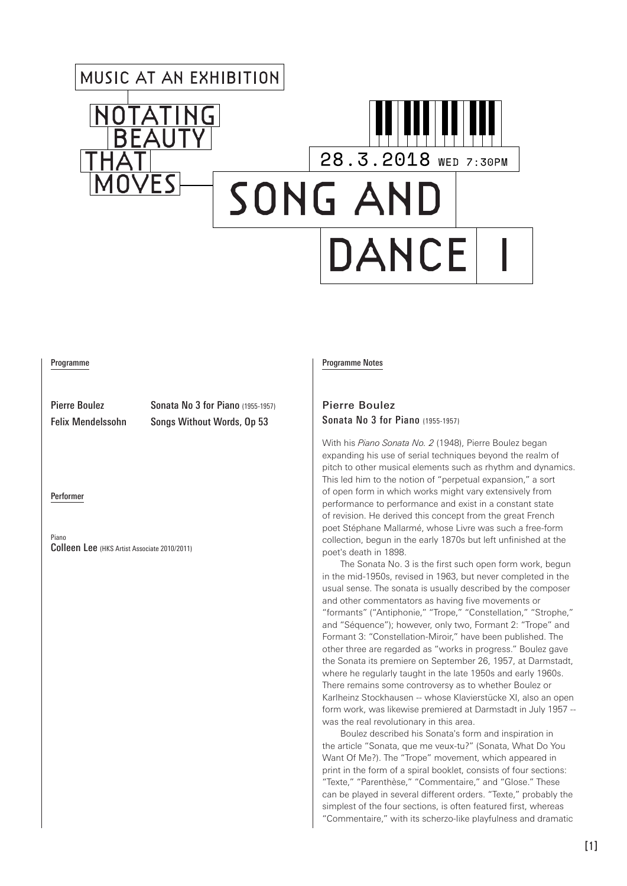# MUSIC AT AN EXHIBITION 28.3.2018 WED 7:30PM Fς SONG AND DANCE

#### Programme

Pierre Boulez Sonata No 3 for Piano (1955-1957) Felix Mendelssohn Songs Without Words, Op 53

Performer

Piano Colleen Lee (HKS Artist Associate 2010/2011)

#### Programme Notes

### Pierre Boulez Sonata No 3 for Piano (1955-1957)

With his *Piano Sonata No. 2* (1948), Pierre Boulez began expanding his use of serial techniques beyond the realm of pitch to other musical elements such as rhythm and dynamics. This led him to the notion of "perpetual expansion," a sort of open form in which works might vary extensively from performance to performance and exist in a constant state of revision. He derived this concept from the great French poet Stéphane Mallarmé, whose Livre was such a free-form collection, begun in the early 1870s but left unfinished at the poet's death in 1898.

The Sonata No. 3 is the first such open form work, begun in the mid-1950s, revised in 1963, but never completed in the usual sense. The sonata is usually described by the composer and other commentators as having five movements or "formants" ("Antiphonie," "Trope," "Constellation," "Strophe," and "Séquence"); however, only two, Formant 2: "Trope" and Formant 3: "Constellation-Miroir," have been published. The other three are regarded as "works in progress." Boulez gave the Sonata its premiere on September 26, 1957, at Darmstadt, where he regularly taught in the late 1950s and early 1960s. There remains some controversy as to whether Boulez or Karlheinz Stockhausen -- whose Klavierstücke XI, also an open form work, was likewise premiered at Darmstadt in July 1957 - was the real revolutionary in this area.

Boulez described his Sonata's form and inspiration in the article "Sonata, que me veux-tu?" (Sonata, What Do You Want Of Me?). The "Trope" movement, which appeared in print in the form of a spiral booklet, consists of four sections: "Texte," "Parenthèse," "Commentaire," and "Glose." These can be played in several different orders. "Texte," probably the simplest of the four sections, is often featured first, whereas "Commentaire," with its scherzo-like playfulness and dramatic